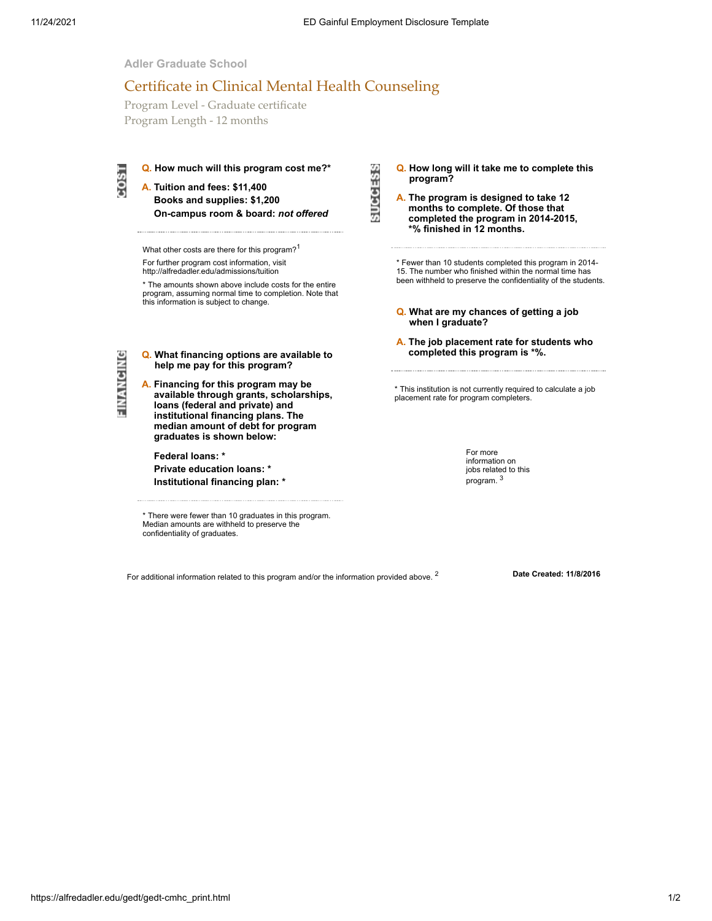**SUCCESS** 

**Adler Graduate School**

## Certificate in Clinical Mental Health Counseling

Program Level - Graduate certificate Program Length - 12 months

**Q. How much will this program cost me?\* A. Tuition and fees: \$11,400**

**Books and supplies: \$1,200 On-campus room & board:** *not offered*

What other costs are there for this program?<sup>1</sup> For further program cost information, visit

http://alfredadler.edu/admissions/tuition

\* The amounts shown above include costs for the entire program, assuming normal time to completion. Note that this information is subject to change.

FINANCING

 $1800$ 

**Q. What financing options are available to help me pay for this program?**

**A. Financing for this program may be available through grants, scholarships, loans (federal and private) and institutional financing plans. The median amount of debt for program graduates is shown below:**

**Federal loans: \***

**Private education loans: \* Institutional financing plan: \***

\* There were fewer than 10 graduates in this program. Median amounts are withheld to preserve the confidentiality of graduates.

**Q. How long will it take me to complete this program?**

**A. The program is designed to take 12 months to complete. Of those that completed the program in 2014-2015, \*% finished in 12 months.**

\* Fewer than 10 students completed this program in 2014- 15. The number who finished within the normal time has been withheld to preserve the confidentiality of the students.

- **Q. What are my chances of getting a job when I graduate?**
- **A. The job placement rate for students who completed this program is \*%.**

\* This institution is not currently required to calculate a job placement rate for program completers.

> For more information on jobs related to this program. <sup>3</sup>

For additional information related to this program and/or the information provided above. <sup>2</sup> **Date Created: 11/8/2016**